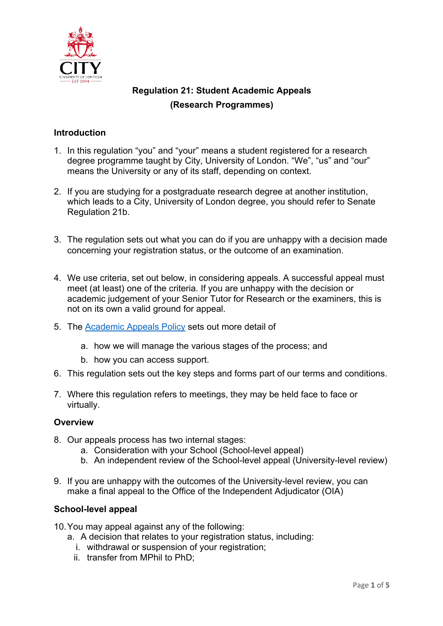

# **Regulation 21: Student Academic Appeals (Research Programmes)**

## **Introduction**

- 1. In this regulation "you" and "your" means a student registered for a research degree programme taught by City, University of London. "We", "us" and "our" means the University or any of its staff, depending on context.
- 2. If you are studying for a postgraduate research degree at another institution, which leads to a City, University of London degree, you should refer to Senate Regulation 21b.
- 3. The regulation sets out what you can do if you are unhappy with a decision made concerning your registration status, or the outcome of an examination.
- 4. We use criteria, set out below, in considering appeals. A successful appeal must meet (at least) one of the criteria. If you are unhappy with the decision or academic judgement of your Senior Tutor for Research or the examiners, this is not on its own a valid ground for appeal.
- 5. The Academic Appeals Policy sets out more detail of
	- a. how we will manage the various stages of the process; and
	- b. how you can access support.
- 6. This regulation sets out the key steps and forms part of our terms and conditions.
- 7. Where this regulation refers to meetings, they may be held face to face or virtually.

#### **Overview**

- 8. Our appeals process has two internal stages:
	- a. Consideration with your School (School-level appeal)
	- b. An independent review of the School-level appeal (University-level review)
- 9. If you are unhappy with the outcomes of the University-level review, you can make a final appeal to the Office of the Independent Adjudicator (OIA)

#### **School-level appeal**

- 10.You may appeal against any of the following:
	- a. A decision that relates to your registration status, including:
		- i. withdrawal or suspension of your registration;
		- ii. transfer from MPhil to PhD;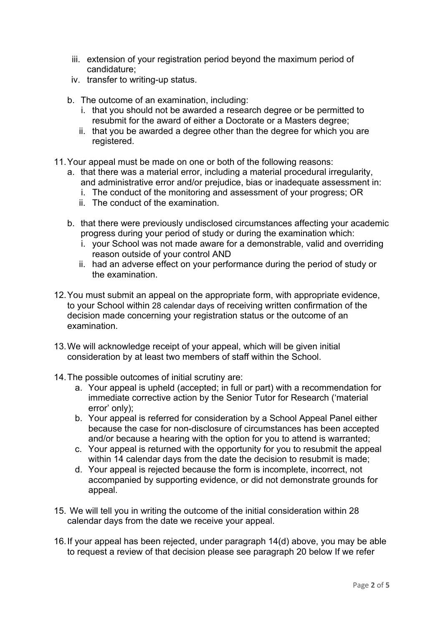- iii. extension of your registration period beyond the maximum period of candidature;
- iv. transfer to writing-up status.
- b. The outcome of an examination, including:
	- i. that you should not be awarded a research degree or be permitted to resubmit for the award of either a Doctorate or a Masters degree;
	- ii. that you be awarded a degree other than the degree for which you are registered.
- 11.Your appeal must be made on one or both of the following reasons:
	- a. that there was a material error, including a material procedural irregularity, and administrative error and/or prejudice, bias or inadequate assessment in:
		- i. The conduct of the monitoring and assessment of your progress; OR
		- ii. The conduct of the examination.
	- b. that there were previously undisclosed circumstances affecting your academic progress during your period of study or during the examination which:
		- i. your School was not made aware for a demonstrable, valid and overriding reason outside of your control AND
		- ii. had an adverse effect on your performance during the period of study or the examination.
- 12.You must submit an appeal on the appropriate form, with appropriate evidence, to your School within 28 calendar days of receiving written confirmation of the decision made concerning your registration status or the outcome of an examination.
- 13.We will acknowledge receipt of your appeal, which will be given initial consideration by at least two members of staff within the School.
- 14.The possible outcomes of initial scrutiny are:
	- a. Your appeal is upheld (accepted; in full or part) with a recommendation for immediate corrective action by the Senior Tutor for Research ('material error' only);
	- b. Your appeal is referred for consideration by a School Appeal Panel either because the case for non-disclosure of circumstances has been accepted and/or because a hearing with the option for you to attend is warranted;
	- c. Your appeal is returned with the opportunity for you to resubmit the appeal within 14 calendar days from the date the decision to resubmit is made;
	- d. Your appeal is rejected because the form is incomplete, incorrect, not accompanied by supporting evidence, or did not demonstrate grounds for appeal.
- 15. We will tell you in writing the outcome of the initial consideration within 28 calendar days from the date we receive your appeal.
- 16.If your appeal has been rejected, under paragraph 14(d) above, you may be able to request a review of that decision please see paragraph 20 below If we refer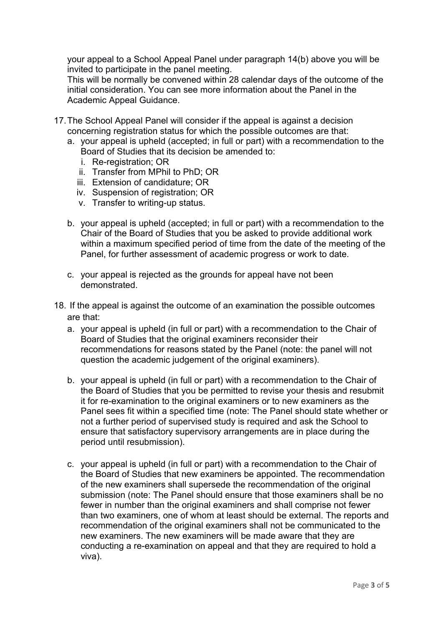your appeal to a School Appeal Panel under paragraph 14(b) above you will be invited to participate in the panel meeting.

This will be normally be convened within 28 calendar days of the outcome of the initial consideration. You can see more information about the Panel in the Academic Appeal Guidance.

- 17.The School Appeal Panel will consider if the appeal is against a decision concerning registration status for which the possible outcomes are that:
	- a. your appeal is upheld (accepted; in full or part) with a recommendation to the Board of Studies that its decision be amended to:
		- i. Re-registration; OR
		- ii. Transfer from MPhil to PhD; OR
		- iii. Extension of candidature; OR
		- iv. Suspension of registration; OR
		- v. Transfer to writing-up status.
	- b. your appeal is upheld (accepted; in full or part) with a recommendation to the Chair of the Board of Studies that you be asked to provide additional work within a maximum specified period of time from the date of the meeting of the Panel, for further assessment of academic progress or work to date.
	- c. your appeal is rejected as the grounds for appeal have not been demonstrated.
- 18. If the appeal is against the outcome of an examination the possible outcomes are that:
	- a. your appeal is upheld (in full or part) with a recommendation to the Chair of Board of Studies that the original examiners reconsider their recommendations for reasons stated by the Panel (note: the panel will not question the academic judgement of the original examiners).
	- b. your appeal is upheld (in full or part) with a recommendation to the Chair of the Board of Studies that you be permitted to revise your thesis and resubmit it for re-examination to the original examiners or to new examiners as the Panel sees fit within a specified time (note: The Panel should state whether or not a further period of supervised study is required and ask the School to ensure that satisfactory supervisory arrangements are in place during the period until resubmission).
	- c. your appeal is upheld (in full or part) with a recommendation to the Chair of the Board of Studies that new examiners be appointed. The recommendation of the new examiners shall supersede the recommendation of the original submission (note: The Panel should ensure that those examiners shall be no fewer in number than the original examiners and shall comprise not fewer than two examiners, one of whom at least should be external. The reports and recommendation of the original examiners shall not be communicated to the new examiners. The new examiners will be made aware that they are conducting a re-examination on appeal and that they are required to hold a viva).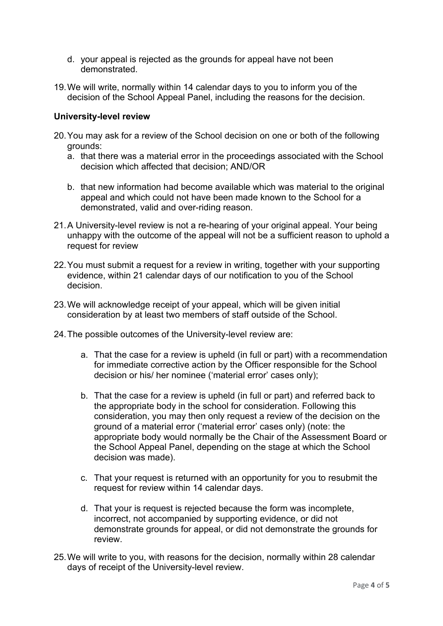- d. your appeal is rejected as the grounds for appeal have not been demonstrated.
- 19.We will write, normally within 14 calendar days to you to inform you of the decision of the School Appeal Panel, including the reasons for the decision.

### **University-level review**

- 20.You may ask for a review of the School decision on one or both of the following grounds:
	- a. that there was a material error in the proceedings associated with the School decision which affected that decision; AND/OR
	- b. that new information had become available which was material to the original appeal and which could not have been made known to the School for a demonstrated, valid and over-riding reason.
- 21.A University-level review is not a re-hearing of your original appeal. Your being unhappy with the outcome of the appeal will not be a sufficient reason to uphold a request for review
- 22.You must submit a request for a review in writing, together with your supporting evidence, within 21 calendar days of our notification to you of the School decision.
- 23.We will acknowledge receipt of your appeal, which will be given initial consideration by at least two members of staff outside of the School.
- 24.The possible outcomes of the University-level review are:
	- a. That the case for a review is upheld (in full or part) with a recommendation for immediate corrective action by the Officer responsible for the School decision or his/ her nominee ('material error' cases only);
	- b. That the case for a review is upheld (in full or part) and referred back to the appropriate body in the school for consideration. Following this consideration, you may then only request a review of the decision on the ground of a material error ('material error' cases only) (note: the appropriate body would normally be the Chair of the Assessment Board or the School Appeal Panel, depending on the stage at which the School decision was made).
	- c. That your request is returned with an opportunity for you to resubmit the request for review within 14 calendar days.
	- d. That your is request is rejected because the form was incomplete, incorrect, not accompanied by supporting evidence, or did not demonstrate grounds for appeal, or did not demonstrate the grounds for review.
- 25.We will write to you, with reasons for the decision, normally within 28 calendar days of receipt of the University-level review.